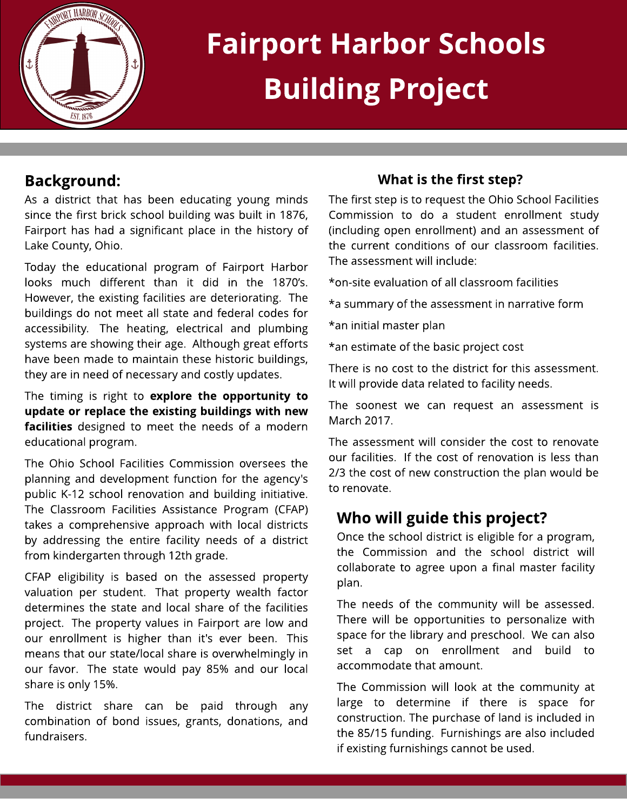

# Fairport Harbor Schools Building Project

## Background:

As a district that has been educating young minds since the first brick school building was built in 1876, Fairport has had a significant place in the history of Lake County, Ohio.

Today the educational program of Fairport Harbor looks much different than it did in the 1870's. However, the existing facilities are deteriorating. The buildings do not meet all state and federal codes for accessibility. The heating, electrical and plumbing systems are showing their age. Although great efforts have been made to maintain these historic buildings, they are in need of necessary and costly updates.

The timing is right to explore the opportunity to update or replace the existing buildings with new facilities designed to meet the needs of a modern educational program.

The Ohio School Facilities Commission oversees the planning and development function for the agency's public K-12 school renovation and building initiative. The Classroom Facilities Assistance Program (CFAP) takes a comprehensive approach with local districts by addressing the entire facility needs of a district from kindergarten through 12th grade.

CFAP eligibility is based on the assessed property valuation per student. That property wealth factor determines the state and local share of the facilities project. The property values in Fairport are low and our enrollment is higher than it's ever been. This means that our state/local share is overwhelmingly in our favor. The state would pay 85% and our local share is only 15%.

The district share can be paid through any combination of bond issues, grants, donations, and fundraisers.

#### What is the first step?

The first step is to request the Ohio School Facilities Commission to do a student enrollment study (including open enrollment) and an assessment of the current conditions of our classroom facilities. The assessment will include:

\* on-site evaluation of all classroom facilities

\* a summary of the assessment in narrative form

\* an initial master plan

\* an estimate of the basic project cost

There is no cost to the district for this assessment. It will provide data related to facility needs.

The soonest we can request an assessment is March 2017.

The assessment will consider the cost to renovate our facilities. If the cost of renovation is less than 2/3 the cost of new construction the plan would be to renovate.

### Who will guide this project?

Once the school district is eligible for a program, the Commission and the school district will collaborate to agree upon a final master facility plan.

The needs of the community will be assessed. There will be opportunities to personalize with space for the library and preschool. We can also set a cap on enrollment and build to accommodate that amount.

The Commission will look at the community at large to determine if there is space for construction. The purchase of land is included in the 85/15 funding. Furnishings are also included if existing furnishings cannot be used.